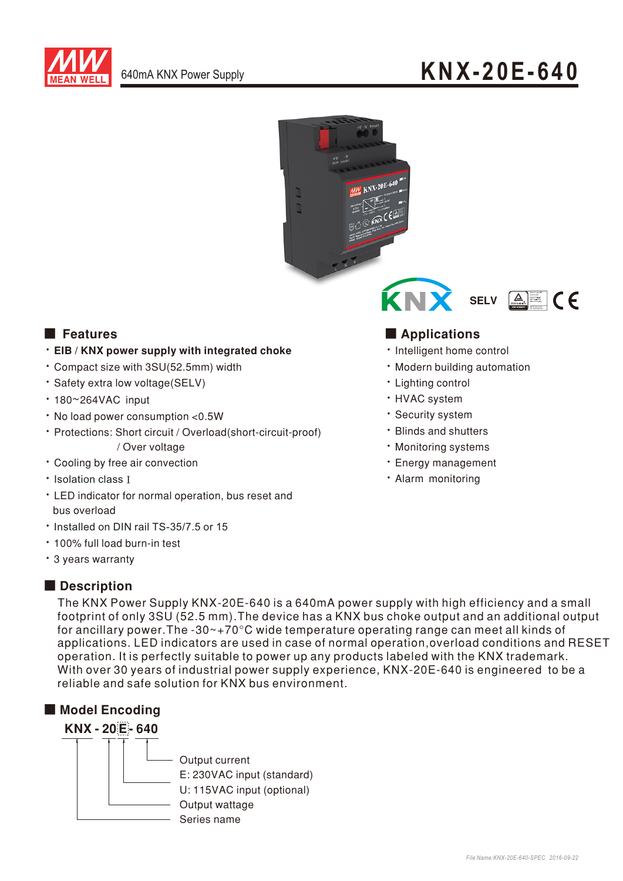

# 640mA KNX Power Supply **KNX-20E-640**





### . EIB / KNX power supply with integrated choke

- Compact size with 3SU(52.5mm) width
- · Safety extra low voltage(SELV)
- 180~264VAC input
- No load power consumption <0.5W
- Protections: Short circuit / Overload(short-circuit-proof) / Over voltage
- Cooling by free air convection
- Isolation class I
- LED indicator for normal operation, bus reset and bus overload
- ‧Installed on DIN rail TS-35/7.5 or 15
- 100% full load burn-in test
- 3 years warranty

## Description

The KNX Power Supply KNX-20E-640 is a 640mA power supply with high efficiency and a small footprint of only 3SU (52.5 mm). The device has a KNX bus choke output and an additional output for ancillary power. The -30 $\sim$ +70 $\degree$ C wide temperature operating range can meet all kinds of applications. LED indicators are used in case of normal operation, overload conditions and RESET operation. It is perfectly suitable to power up any products labeled with the KNX trademark. With over 30 years of industrial power supply experience, KNX-20E-640 is engineered to be a reliable and safe solution for KNX bus environment.

# ■ Model Encoding



# ■ Features ■ Particular and Particular and Particular and Particular and Particular and Particular and Particular and Particular and Particular and Particular and Particular and Particular and Particular and Particular an

- Intelligent home control
- Modern building automation
- Lighting control
- HVAC system
- Security system
- Blinds and shutters
- Monitoring systems
- **· Energy management**
- · Alarm monitoring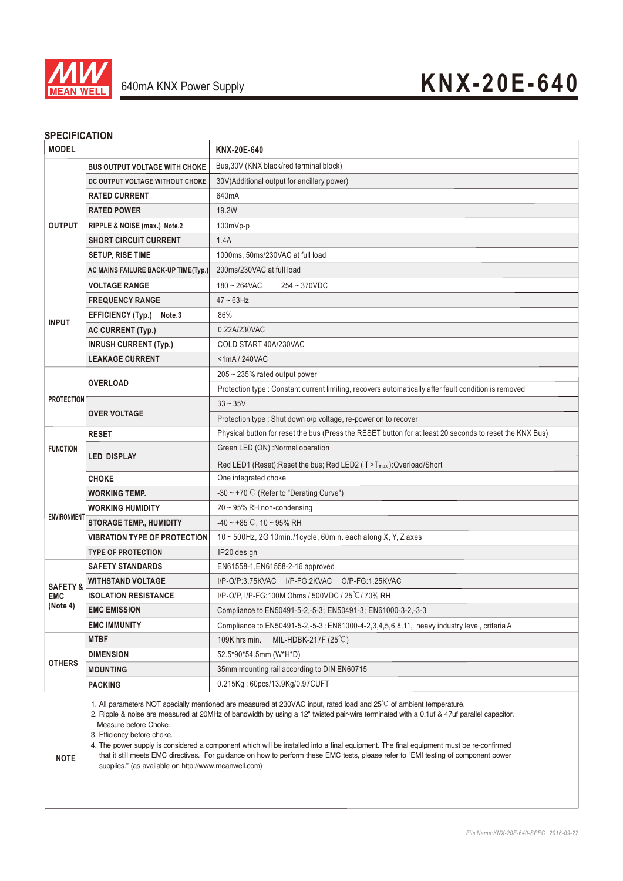

### **SPECIFICATION**

|                                                                                                                                                                                                                                                                                                                                                                                                                                                                                                                                                                                                                                                                                           | KNX-20E-640                                                                                                                                                                                                                                                                       |
|-------------------------------------------------------------------------------------------------------------------------------------------------------------------------------------------------------------------------------------------------------------------------------------------------------------------------------------------------------------------------------------------------------------------------------------------------------------------------------------------------------------------------------------------------------------------------------------------------------------------------------------------------------------------------------------------|-----------------------------------------------------------------------------------------------------------------------------------------------------------------------------------------------------------------------------------------------------------------------------------|
| <b>BUS OUTPUT VOLTAGE WITH CHOKE</b>                                                                                                                                                                                                                                                                                                                                                                                                                                                                                                                                                                                                                                                      | Bus, 30V (KNX black/red terminal block)                                                                                                                                                                                                                                           |
| DC OUTPUT VOLTAGE WITHOUT CHOKE                                                                                                                                                                                                                                                                                                                                                                                                                                                                                                                                                                                                                                                           | 30V(Additional output for ancillary power)                                                                                                                                                                                                                                        |
| <b>RATED CURRENT</b>                                                                                                                                                                                                                                                                                                                                                                                                                                                                                                                                                                                                                                                                      | 640mA                                                                                                                                                                                                                                                                             |
| <b>RATED POWER</b>                                                                                                                                                                                                                                                                                                                                                                                                                                                                                                                                                                                                                                                                        | 19.2W                                                                                                                                                                                                                                                                             |
| RIPPLE & NOISE (max.) Note.2                                                                                                                                                                                                                                                                                                                                                                                                                                                                                                                                                                                                                                                              | $100mVp-p$                                                                                                                                                                                                                                                                        |
| <b>SHORT CIRCUIT CURRENT</b><br><b>SETUP, RISE TIME</b>                                                                                                                                                                                                                                                                                                                                                                                                                                                                                                                                                                                                                                   | 1.4A                                                                                                                                                                                                                                                                              |
|                                                                                                                                                                                                                                                                                                                                                                                                                                                                                                                                                                                                                                                                                           | 1000ms, 50ms/230VAC at full load                                                                                                                                                                                                                                                  |
| AC MAINS FAILURE BACK-UP TIME(Typ.)                                                                                                                                                                                                                                                                                                                                                                                                                                                                                                                                                                                                                                                       | 200ms/230VAC at full load                                                                                                                                                                                                                                                         |
| <b>VOLTAGE RANGE</b>                                                                                                                                                                                                                                                                                                                                                                                                                                                                                                                                                                                                                                                                      | $180 - 264$ VAC<br>254~370VDC                                                                                                                                                                                                                                                     |
| <b>FREQUENCY RANGE</b>                                                                                                                                                                                                                                                                                                                                                                                                                                                                                                                                                                                                                                                                    | $47 - 63$ Hz                                                                                                                                                                                                                                                                      |
| <b>EFFICIENCY (Typ.)</b><br>Note.3                                                                                                                                                                                                                                                                                                                                                                                                                                                                                                                                                                                                                                                        | 86%                                                                                                                                                                                                                                                                               |
| <b>AC CURRENT (Typ.)</b>                                                                                                                                                                                                                                                                                                                                                                                                                                                                                                                                                                                                                                                                  | 0.22A/230VAC                                                                                                                                                                                                                                                                      |
| <b>INRUSH CURRENT (Typ.)</b>                                                                                                                                                                                                                                                                                                                                                                                                                                                                                                                                                                                                                                                              | COLD START 40A/230VAC                                                                                                                                                                                                                                                             |
| <b>LEAKAGE CURRENT</b>                                                                                                                                                                                                                                                                                                                                                                                                                                                                                                                                                                                                                                                                    | $<$ 1mA $/$ 240VAC                                                                                                                                                                                                                                                                |
| <b>OVERLOAD</b>                                                                                                                                                                                                                                                                                                                                                                                                                                                                                                                                                                                                                                                                           | 205 ~ 235% rated output power                                                                                                                                                                                                                                                     |
|                                                                                                                                                                                                                                                                                                                                                                                                                                                                                                                                                                                                                                                                                           | Protection type : Constant current limiting, recovers automatically after fault condition is removed                                                                                                                                                                              |
| <b>PROTECTION</b><br><b>OVER VOLTAGE</b>                                                                                                                                                                                                                                                                                                                                                                                                                                                                                                                                                                                                                                                  | $33 - 35V$                                                                                                                                                                                                                                                                        |
|                                                                                                                                                                                                                                                                                                                                                                                                                                                                                                                                                                                                                                                                                           | Protection type : Shut down o/p voltage, re-power on to recover                                                                                                                                                                                                                   |
| <b>RESET</b>                                                                                                                                                                                                                                                                                                                                                                                                                                                                                                                                                                                                                                                                              | Physical button for reset the bus (Press the RESET button for at least 20 seconds to reset the KNX Bus)                                                                                                                                                                           |
| <b>FUNCTION</b><br><b>LED DISPLAY</b>                                                                                                                                                                                                                                                                                                                                                                                                                                                                                                                                                                                                                                                     | Green LED (ON) :Normal operation                                                                                                                                                                                                                                                  |
|                                                                                                                                                                                                                                                                                                                                                                                                                                                                                                                                                                                                                                                                                           | Red LED1 (Reset): Reset the bus; Red LED2 ( I > I max ): Overload/Short                                                                                                                                                                                                           |
| <b>CHOKE</b>                                                                                                                                                                                                                                                                                                                                                                                                                                                                                                                                                                                                                                                                              | One integrated choke                                                                                                                                                                                                                                                              |
| <b>WORKING TEMP.</b>                                                                                                                                                                                                                                                                                                                                                                                                                                                                                                                                                                                                                                                                      | -30 ~ +70 $^{\circ}$ C (Refer to "Derating Curve")                                                                                                                                                                                                                                |
| <b>WORKING HUMIDITY</b>                                                                                                                                                                                                                                                                                                                                                                                                                                                                                                                                                                                                                                                                   | 20~95% RH non-condensing                                                                                                                                                                                                                                                          |
|                                                                                                                                                                                                                                                                                                                                                                                                                                                                                                                                                                                                                                                                                           | $-40 \sim +85^{\circ}$ C, 10 ~ 95% RH                                                                                                                                                                                                                                             |
|                                                                                                                                                                                                                                                                                                                                                                                                                                                                                                                                                                                                                                                                                           | 10~500Hz, 2G 10min./1cycle, 60min. each along X, Y, Z axes                                                                                                                                                                                                                        |
| <b>TYPE OF PROTECTION</b>                                                                                                                                                                                                                                                                                                                                                                                                                                                                                                                                                                                                                                                                 | IP20 design                                                                                                                                                                                                                                                                       |
|                                                                                                                                                                                                                                                                                                                                                                                                                                                                                                                                                                                                                                                                                           | EN61558-1, EN61558-2-16 approved                                                                                                                                                                                                                                                  |
|                                                                                                                                                                                                                                                                                                                                                                                                                                                                                                                                                                                                                                                                                           | I/P-O/P:3.75KVAC I/P-FG:2KVAC O/P-FG:1.25KVAC                                                                                                                                                                                                                                     |
|                                                                                                                                                                                                                                                                                                                                                                                                                                                                                                                                                                                                                                                                                           | I/P-O/P, I/P-FG:100M Ohms / 500VDC / 25°C/70% RH                                                                                                                                                                                                                                  |
|                                                                                                                                                                                                                                                                                                                                                                                                                                                                                                                                                                                                                                                                                           | Compliance to EN50491-5-2,-5-3; EN50491-3; EN61000-3-2,-3-3                                                                                                                                                                                                                       |
|                                                                                                                                                                                                                                                                                                                                                                                                                                                                                                                                                                                                                                                                                           | Compliance to EN50491-5-2,-5-3; EN61000-4-2,3,4,5,6,8,11, heavy industry level, criteria A                                                                                                                                                                                        |
|                                                                                                                                                                                                                                                                                                                                                                                                                                                                                                                                                                                                                                                                                           | 109K hrs min.<br>MIL-HDBK-217F $(25^{\circ}C)$                                                                                                                                                                                                                                    |
|                                                                                                                                                                                                                                                                                                                                                                                                                                                                                                                                                                                                                                                                                           | 52.5*90*54.5mm (W*H*D)                                                                                                                                                                                                                                                            |
|                                                                                                                                                                                                                                                                                                                                                                                                                                                                                                                                                                                                                                                                                           | 35mm mounting rail according to DIN EN60715                                                                                                                                                                                                                                       |
|                                                                                                                                                                                                                                                                                                                                                                                                                                                                                                                                                                                                                                                                                           | 0.215Kg; 60pcs/13.9Kg/0.97CUFT                                                                                                                                                                                                                                                    |
| 1. All parameters NOT specially mentioned are measured at 230VAC input, rated load and $25^{\circ}$ C of ambient temperature.<br>2. Ripple & noise are measured at 20MHz of bandwidth by using a 12" twisted pair-wire terminated with a 0.1uf & 47uf parallel capacitor.<br>Measure before Choke.<br>3. Efficiency before choke.<br>4. The power supply is considered a component which will be installed into a final equipment. The final equipment must be re-confirmed<br>that it still meets EMC directives. For guidance on how to perform these EMC tests, please refer to "EMI testing of component power<br><b>NOTE</b><br>supplies." (as available on http://www.meanwell.com) |                                                                                                                                                                                                                                                                                   |
|                                                                                                                                                                                                                                                                                                                                                                                                                                                                                                                                                                                                                                                                                           | <b>STORAGE TEMP., HUMIDITY</b><br><b>VIBRATION TYPE OF PROTECTION</b><br><b>SAFETY STANDARDS</b><br><b>WITHSTAND VOLTAGE</b><br><b>ISOLATION RESISTANCE</b><br><b>EMC EMISSION</b><br><b>EMC IMMUNITY</b><br><b>MTBF</b><br><b>DIMENSION</b><br><b>MOUNTING</b><br><b>PACKING</b> |

<u> 1989 - Johann Barbara, martxa alemaniar a</u>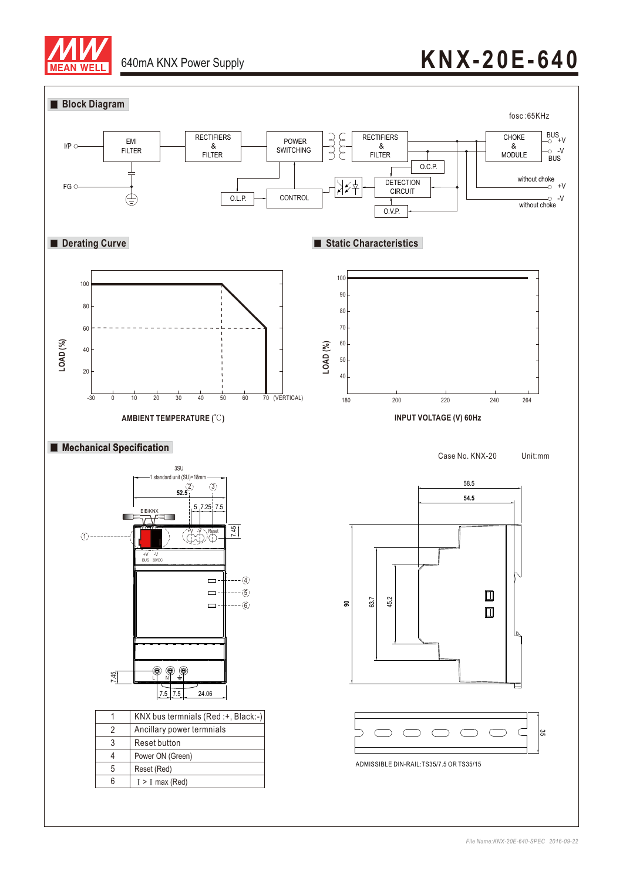

# **KNX-20E-640**